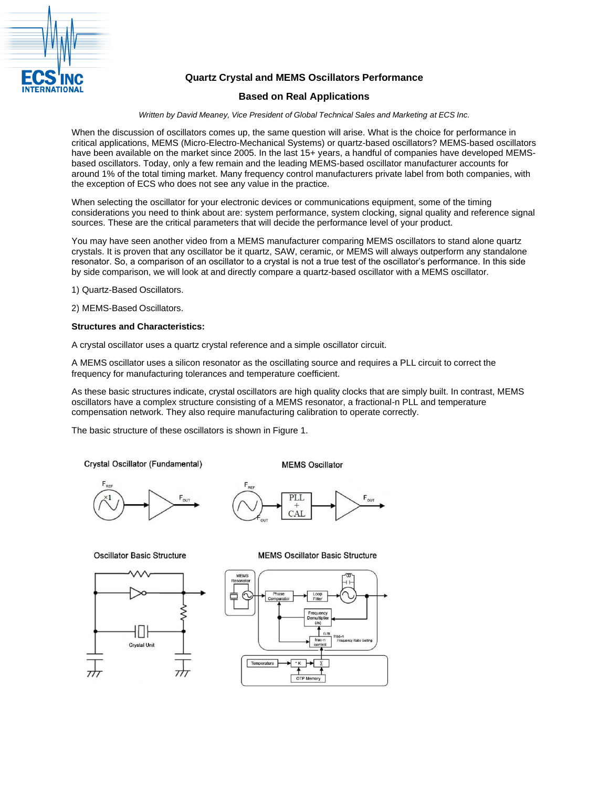

# **Quartz Crystal and MEMS Oscillators Performance**

# **Based on Real Applications**

*Written by David Meaney, Vice President of Global Technical Sales and Marketing at ECS Inc.*

When the discussion of oscillators comes up, the same question will arise. What is the choice for performance in critical applications, MEMS (Micro-Electro-Mechanical Systems) or quartz-based oscillators? MEMS-based oscillators have been available on the market since 2005. In the last 15+ years, a handful of companies have developed MEMSbased oscillators. Today, only a few remain and the leading MEMS-based oscillator manufacturer accounts for around 1% of the total timing market. Many frequency control manufacturers private label from both companies, with the exception of ECS who does not see any value in the practice.

When selecting the oscillator for your electronic devices or communications equipment, some of the timing considerations you need to think about are: system performance, system clocking, signal quality and reference signal sources. These are the critical parameters that will decide the performance level of your product.

You may have seen another video from a MEMS manufacturer comparing MEMS oscillators to stand alone quartz crystals. It is proven that any oscillator be it quartz, SAW, ceramic, or MEMS will always outperform any standalone resonator. So, a comparison of an oscillator to a crystal is not a true test of the oscillator's performance. In this side by side comparison, we will look at and directly compare a quartz-based oscillator with a MEMS oscillator.

1) Quartz-Based Oscillators.

2) MEMS-Based Oscillators.

### **Structures and Characteristics:**

A crystal oscillator uses a quartz crystal reference and a simple oscillator circuit.

A MEMS oscillator uses a silicon resonator as the oscillating source and requires a PLL circuit to correct the frequency for manufacturing tolerances and temperature coefficient.

As these basic structures indicate, crystal oscillators are high quality clocks that are simply built. In contrast, MEMS oscillators have a complex structure consisting of a MEMS resonator, a fractional-n PLL and temperature compensation network. They also require manufacturing calibration to operate correctly.

The basic structure of these oscillators is shown in Figure 1.

Crystal Oscillator (Fundamental)

**MEMS Oscillator** 





#### **Oscillator Basic Structure**



#### **MEMS Oscillator Basic Structure**

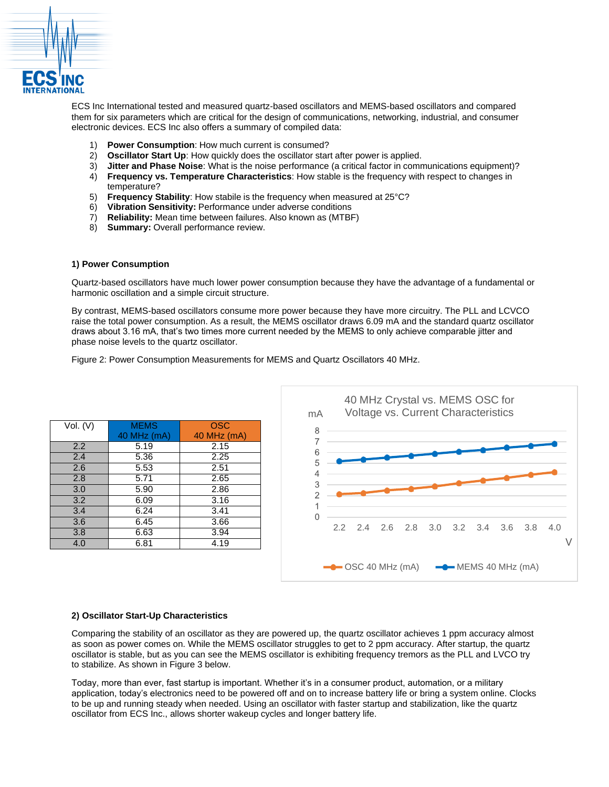

ECS Inc International tested and measured quartz-based oscillators and MEMS-based oscillators and compared them for six parameters which are critical for the design of communications, networking, industrial, and consumer electronic devices. ECS Inc also offers a summary of compiled data:

- 1) **Power Consumption**: How much current is consumed?
- 2) **Oscillator Start Up**: How quickly does the oscillator start after power is applied.
- 3) **Jitter and Phase Noise**: What is the noise performance (a critical factor in communications equipment)?
- 4) **Frequency vs. Temperature Characteristics**: How stable is the frequency with respect to changes in temperature?
- 5) **Frequency Stability**: How stabile is the frequency when measured at 25°C?
- 6) **Vibration Sensitivity:** Performance under adverse conditions
- 7) **Reliability:** Mean time between failures. Also known as (MTBF)
- 8) **Summary:** Overall performance review.

### **1) Power Consumption**

Quartz-based oscillators have much lower power consumption because they have the advantage of a fundamental or harmonic oscillation and a simple circuit structure.

By contrast, MEMS-based oscillators consume more power because they have more circuitry. The PLL and LCVCO raise the total power consumption. As a result, the MEMS oscillator draws 6.09 mA and the standard quartz oscillator draws about 3.16 mA, that's two times more current needed by the MEMS to only achieve comparable jitter and phase noise levels to the quartz oscillator.

Figure 2: Power Consumption Measurements for MEMS and Quartz Oscillators 40 MHz.

| Vol. (V) | <b>MEMS</b> | <b>OSC</b>  |
|----------|-------------|-------------|
|          | 40 MHz (mA) | 40 MHz (mA) |
| 2.2      | 5.19        | 2.15        |
| 2.4      | 5.36        | 2.25        |
| 2.6      | 5.53        | 2.51        |
| 2.8      | 5.71        | 2.65        |
| 3.0      | 5.90        | 2.86        |
| 3.2      | 6.09        | 3.16        |
| 3.4      | 6.24        | 3.41        |
| 3.6      | 6.45        | 3.66        |
| 3.8      | 6.63        | 3.94        |
| 4.0      | 6.81        | 4.19        |



## **2) Oscillator Start-Up Characteristics**

Comparing the stability of an oscillator as they are powered up, the quartz oscillator achieves 1 ppm accuracy almost as soon as power comes on. While the MEMS oscillator struggles to get to 2 ppm accuracy. After startup, the quartz oscillator is stable, but as you can see the MEMS oscillator is exhibiting frequency tremors as the PLL and LVCO try to stabilize. As shown in Figure 3 below.

Today, more than ever, fast startup is important. Whether it's in a consumer product, automation, or a military application, today's electronics need to be powered off and on to increase battery life or bring a system online. Clocks to be up and running steady when needed. Using an oscillator with faster startup and stabilization, like the quartz oscillator from ECS Inc., allows shorter wakeup cycles and longer battery life.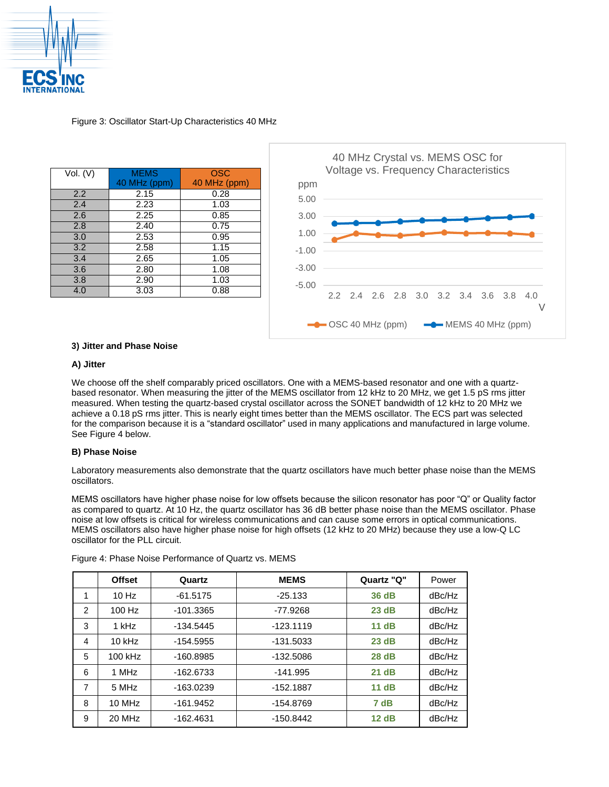

Figure 3: Oscillator Start-Up Characteristics 40 MHz

| <b>MEMS</b>  | OSC          |
|--------------|--------------|
| 40 MHz (ppm) | 40 MHz (ppm) |
| 2.15         | 0.28         |
| 2.23         | 1.03         |
| 2.25         | 0.85         |
| 2.40         | 0.75         |
| 2.53         | 0.95         |
| 2.58         | 1.15         |
| 2.65         | 1.05         |
| 2.80         | 1.08         |
| 2.90         | 1.03         |
| 3.03         | 0.88         |
|              |              |



# **3) Jitter and Phase Noise**

## **A) Jitter**

We choose off the shelf comparably priced oscillators. One with a MEMS-based resonator and one with a quartzbased resonator. When measuring the jitter of the MEMS oscillator from 12 kHz to 20 MHz, we get 1.5 pS rms jitter measured. When testing the quartz-based crystal oscillator across the SONET bandwidth of 12 kHz to 20 MHz we achieve a 0.18 pS rms jitter. This is nearly eight times better than the MEMS oscillator. The ECS part was selected for the comparison because it is a "standard oscillator" used in many applications and manufactured in large volume. See Figure 4 below.

# **B) Phase Noise**

Laboratory measurements also demonstrate that the quartz oscillators have much better phase noise than the MEMS oscillators.

MEMS oscillators have higher phase noise for low offsets because the silicon resonator has poor "Q" or Quality factor as compared to quartz. At 10 Hz, the quartz oscillator has 36 dB better phase noise than the MEMS oscillator. Phase noise at low offsets is critical for wireless communications and can cause some errors in optical communications. MEMS oscillators also have higher phase noise for high offsets (12 kHz to 20 MHz) because they use a low-Q LC oscillator for the PLL circuit.

|   | <b>Offset</b> | Quartz      | <b>MEMS</b> | Quartz "Q" | Power  |
|---|---------------|-------------|-------------|------------|--------|
| 1 | $10$ Hz       | $-61.5175$  | $-25.133$   | 36 dB      | dBc/Hz |
| 2 | 100 Hz        | $-101.3365$ | -77.9268    | 23 dB      | dBc/Hz |
| 3 | 1 kHz         | $-134.5445$ | $-123.1119$ | 11 dB      | dBc/Hz |
| 4 | $10$ kHz      | $-154.5955$ | $-131.5033$ | 23 dB      | dBc/Hz |
| 5 | 100 kHz       | $-160.8985$ | $-132.5086$ | 28 dB      | dBc/Hz |
| 6 | 1 MHz         | -162.6733   | $-141.995$  | 21 dB      | dBc/Hz |
| 7 | 5 MHz         | $-163.0239$ | $-152.1887$ | 11dB       | dBc/Hz |
| 8 | 10 MHz        | $-161.9452$ | -154.8769   | 7 dB       | dBc/Hz |
| 9 | 20 MHz        | $-162.4631$ | $-150.8442$ | 12dB       | dBc/Hz |

Figure 4: Phase Noise Performance of Quartz vs. MEMS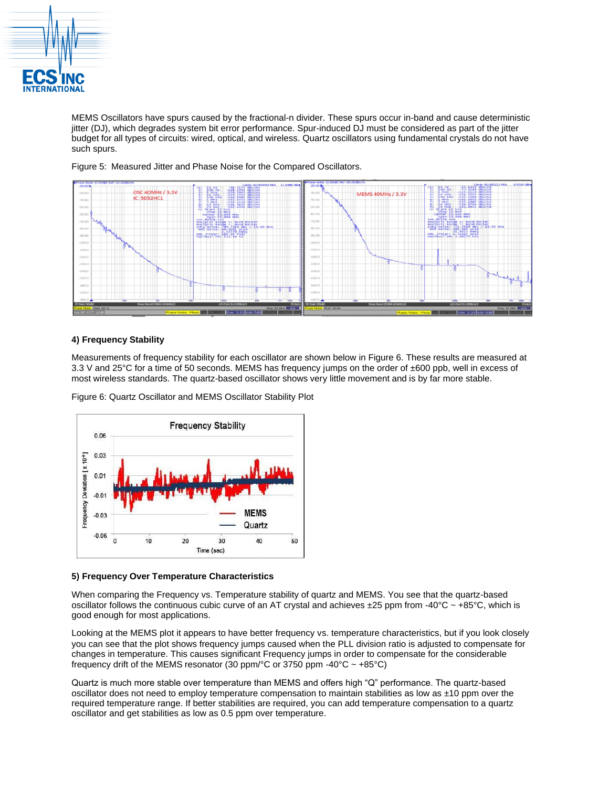

MEMS Oscillators have spurs caused by the fractional-n divider. These spurs occur in-band and cause deterministic jitter (DJ), which degrades system bit error performance. Spur-induced DJ must be considered as part of the jitter budget for all types of circuits: wired, optical, and wireless. Quartz oscillators using fundamental crystals do not have such spurs.



Figure 5: Measured Jitter and Phase Noise for the Compared Oscillators.

# **4) Frequency Stability**

Measurements of frequency stability for each oscillator are shown below in Figure 6. These results are measured at 3.3 V and 25°C for a time of 50 seconds. MEMS has frequency jumps on the order of ±600 ppb, well in excess of most wireless standards. The quartz-based oscillator shows very little movement and is by far more stable.

Figure 6: Quartz Oscillator and MEMS Oscillator Stability Plot



## **5) Frequency Over Temperature Characteristics**

When comparing the Frequency vs. Temperature stability of quartz and MEMS. You see that the quartz-based oscillator follows the continuous cubic curve of an AT crystal and achieves ±25 ppm from -40°C ~ +85°C, which is good enough for most applications.

Looking at the MEMS plot it appears to have better frequency vs. temperature characteristics, but if you look closely you can see that the plot shows frequency jumps caused when the PLL division ratio is adjusted to compensate for changes in temperature. This causes significant Frequency jumps in order to compensate for the considerable frequency drift of the MEMS resonator (30 ppm/ $\textdegree$ C or 3750 ppm -40 $\textdegree$ C ~ +85 $\textdegree$ C)

Quartz is much more stable over temperature than MEMS and offers high "Q" performance. The quartz-based oscillator does not need to employ temperature compensation to maintain stabilities as low as ±10 ppm over the required temperature range. If better stabilities are required, you can add temperature compensation to a quartz oscillator and get stabilities as low as 0.5 ppm over temperature.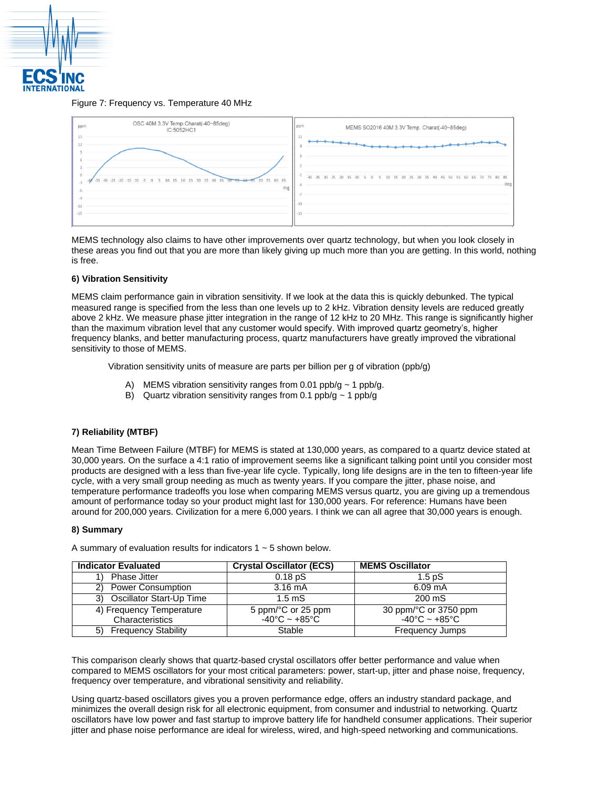

#### Figure 7: Frequency vs. Temperature 40 MHz

| OSC 40M 3.3V Temp.Charat(-40~85deg)<br>ppm<br>IC:5052HC1                                                                                                      | ppm<br>MEMS SO2016 40M 3.3V Temp. Charat(-40~85deg)                                         |
|---------------------------------------------------------------------------------------------------------------------------------------------------------------|---------------------------------------------------------------------------------------------|
| 15<br>12<br>$\Omega$<br>$-25 - 20$<br>65 70 75 80 85<br>35<br>$-15 - 10$<br>25<br>40<br>$-35$<br>10<br>20<br>$-5$<br>$\circ$<br>$-3$<br>deg<br>$-12$<br>$-15$ | $40 -$<br>$-35 - 30 - 25 - 20$<br>50 55 60 65 70 75 80<br>85<br>45<br>20<br>40<br>30<br>deg |

MEMS technology also claims to have other improvements over quartz technology, but when you look closely in these areas you find out that you are more than likely giving up much more than you are getting. In this world, nothing is free.

### **6) Vibration Sensitivity**

MEMS claim performance gain in vibration sensitivity. If we look at the data this is quickly debunked. The typical measured range is specified from the less than one levels up to 2 kHz. Vibration density levels are reduced greatly above 2 kHz. We measure phase jitter integration in the range of 12 kHz to 20 MHz. This range is significantly higher than the maximum vibration level that any customer would specify. With improved quartz geometry's, higher frequency blanks, and better manufacturing process, quartz manufacturers have greatly improved the vibrational sensitivity to those of MEMS.

Vibration sensitivity units of measure are parts per billion per g of vibration (ppb/g)

- A) MEMS vibration sensitivity ranges from 0.01 ppb/g  $\sim$  1 ppb/g.
- B) Quartz vibration sensitivity ranges from 0.1 ppb/g  $\sim$  1 ppb/g

## **7) Reliability (MTBF)**

Mean Time Between Failure (MTBF) for MEMS is stated at 130,000 years, as compared to a quartz device stated at 30,000 years. On the surface a 4:1 ratio of improvement seems like a significant talking point until you consider most products are designed with a less than five-year life cycle. Typically, long life designs are in the ten to fifteen-year life cycle, with a very small group needing as much as twenty years. If you compare the jitter, phase noise, and temperature performance tradeoffs you lose when comparing MEMS versus quartz, you are giving up a tremendous amount of performance today so your product might last for 130,000 years. For reference: Humans have been around for 200,000 years. Civilization for a mere 6,000 years. I think we can all agree that 30,000 years is enough.

#### **8) Summary**

| <b>Indicator Evaluated</b>       | <b>Crystal Oscillator (ECS)</b>   | <b>MEMS Oscillator</b>            |
|----------------------------------|-----------------------------------|-----------------------------------|
| <b>Phase Jitter</b>              | 0.18 <sub>D</sub> S               | 1.5 <sub>D</sub> S                |
| 2) Power Consumption             | $3.16 \text{ mA}$                 | $6.09 \text{ mA}$                 |
| 3) Oscillator Start-Up Time      | $1.5 \text{ mS}$                  | $200 \text{ mS}$                  |
| 4) Frequency Temperature         | 5 ppm/°C or 25 ppm                | 30 ppm/°C or 3750 ppm             |
| Characteristics                  | $-40^{\circ}$ C ~ $+85^{\circ}$ C | $-40^{\circ}$ C ~ $+85^{\circ}$ C |
| <b>Frequency Stability</b><br>5) | Stable                            | <b>Frequency Jumps</b>            |

A summary of evaluation results for indicators  $1 \sim 5$  shown below.

This comparison clearly shows that quartz-based crystal oscillators offer better performance and value when compared to MEMS oscillators for your most critical parameters: power, start-up, jitter and phase noise, frequency, frequency over temperature, and vibrational sensitivity and reliability.

Using quartz-based oscillators gives you a proven performance edge, offers an industry standard package, and minimizes the overall design risk for all electronic equipment, from consumer and industrial to networking. Quartz oscillators have low power and fast startup to improve battery life for handheld consumer applications. Their superior jitter and phase noise performance are ideal for wireless, wired, and high-speed networking and communications.